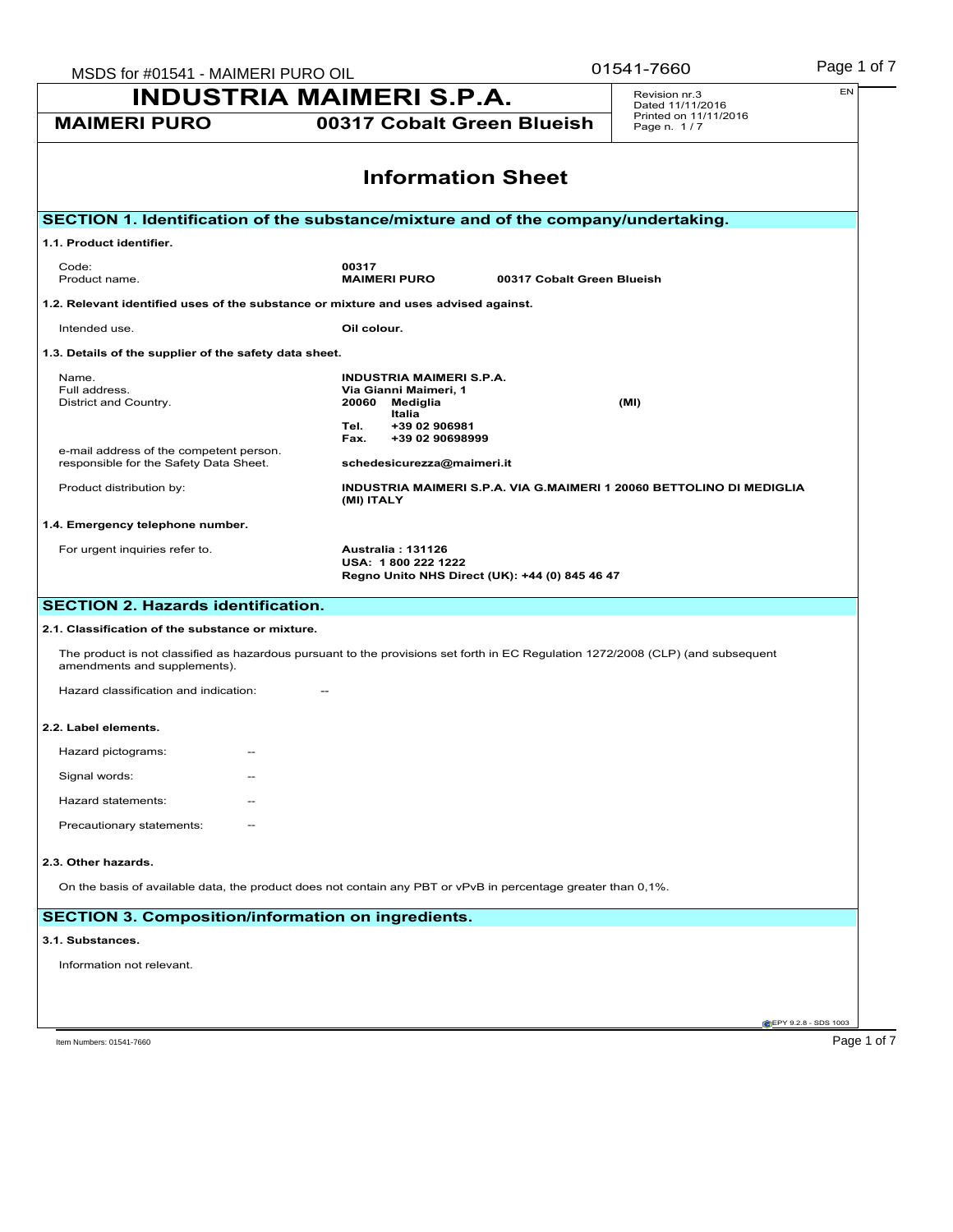| MSDS for #01541 - MAIMERI PURO OIL                                                | Page 1 of 7<br>01541-7660                                                                                                        |                                                                      |  |  |  |  |
|-----------------------------------------------------------------------------------|----------------------------------------------------------------------------------------------------------------------------------|----------------------------------------------------------------------|--|--|--|--|
| <b>INDUSTRIA MAIMERI S.P.A.</b>                                                   | EN<br>Revision nr.3<br>Dated 11/11/2016                                                                                          |                                                                      |  |  |  |  |
| <b>MAIMERI PURO</b>                                                               | 00317 Cobalt Green Blueish                                                                                                       | Printed on 11/11/2016<br>Page n. 1/7                                 |  |  |  |  |
|                                                                                   | <b>Information Sheet</b>                                                                                                         |                                                                      |  |  |  |  |
|                                                                                   |                                                                                                                                  |                                                                      |  |  |  |  |
|                                                                                   | SECTION 1. Identification of the substance/mixture and of the company/undertaking.                                               |                                                                      |  |  |  |  |
| 1.1. Product identifier.                                                          |                                                                                                                                  |                                                                      |  |  |  |  |
| Code:<br>Product name.                                                            | 00317<br><b>MAIMERI PURO</b>                                                                                                     | 00317 Cobalt Green Blueish                                           |  |  |  |  |
|                                                                                   | 1.2. Relevant identified uses of the substance or mixture and uses advised against.                                              |                                                                      |  |  |  |  |
| Intended use.                                                                     | Oil colour.                                                                                                                      |                                                                      |  |  |  |  |
| 1.3. Details of the supplier of the safety data sheet.                            |                                                                                                                                  |                                                                      |  |  |  |  |
| Name.                                                                             | <b>INDUSTRIA MAIMERI S.P.A.</b>                                                                                                  |                                                                      |  |  |  |  |
| Full address.<br>District and Country.                                            | Via Gianni Maimeri, 1<br>20060 Mediglia                                                                                          | (MI)                                                                 |  |  |  |  |
|                                                                                   | Italia<br>+39 02 906981<br>Tel.                                                                                                  |                                                                      |  |  |  |  |
|                                                                                   | +39 02 90698999<br>Fax.                                                                                                          |                                                                      |  |  |  |  |
| e-mail address of the competent person.<br>responsible for the Safety Data Sheet. | schedesicurezza@maimeri.it                                                                                                       |                                                                      |  |  |  |  |
| Product distribution by:                                                          | (MI) ITALY                                                                                                                       | INDUSTRIA MAIMERI S.P.A. VIA G.MAIMERI 1 20060 BETTOLINO DI MEDIGLIA |  |  |  |  |
| 1.4. Emergency telephone number.                                                  |                                                                                                                                  |                                                                      |  |  |  |  |
| For urgent inquiries refer to.                                                    | <b>Australia: 131126</b><br>USA: 1800 222 1222<br>Regno Unito NHS Direct (UK): +44 (0) 845 46 47                                 |                                                                      |  |  |  |  |
| <b>SECTION 2. Hazards identification.</b>                                         |                                                                                                                                  |                                                                      |  |  |  |  |
| 2.1. Classification of the substance or mixture.                                  |                                                                                                                                  |                                                                      |  |  |  |  |
| amendments and supplements).                                                      | The product is not classified as hazardous pursuant to the provisions set forth in EC Regulation 1272/2008 (CLP) (and subsequent |                                                                      |  |  |  |  |
| Hazard classification and indication:                                             |                                                                                                                                  |                                                                      |  |  |  |  |
| 2.2. Label elements.                                                              |                                                                                                                                  |                                                                      |  |  |  |  |
| Hazard pictograms:                                                                |                                                                                                                                  |                                                                      |  |  |  |  |
| Signal words:                                                                     |                                                                                                                                  |                                                                      |  |  |  |  |
| Hazard statements:                                                                |                                                                                                                                  |                                                                      |  |  |  |  |
|                                                                                   |                                                                                                                                  |                                                                      |  |  |  |  |
| Precautionary statements:                                                         |                                                                                                                                  |                                                                      |  |  |  |  |
| 2.3. Other hazards.                                                               |                                                                                                                                  |                                                                      |  |  |  |  |
|                                                                                   | On the basis of available data, the product does not contain any PBT or vPvB in percentage greater than 0,1%.                    |                                                                      |  |  |  |  |
|                                                                                   | <b>SECTION 3. Composition/information on ingredients.</b>                                                                        |                                                                      |  |  |  |  |
| 3.1. Substances.                                                                  |                                                                                                                                  |                                                                      |  |  |  |  |
| Information not relevant.                                                         |                                                                                                                                  |                                                                      |  |  |  |  |
|                                                                                   |                                                                                                                                  |                                                                      |  |  |  |  |
|                                                                                   |                                                                                                                                  |                                                                      |  |  |  |  |
|                                                                                   |                                                                                                                                  | <b>CEPY 9.2.8 - SDS 1003</b>                                         |  |  |  |  |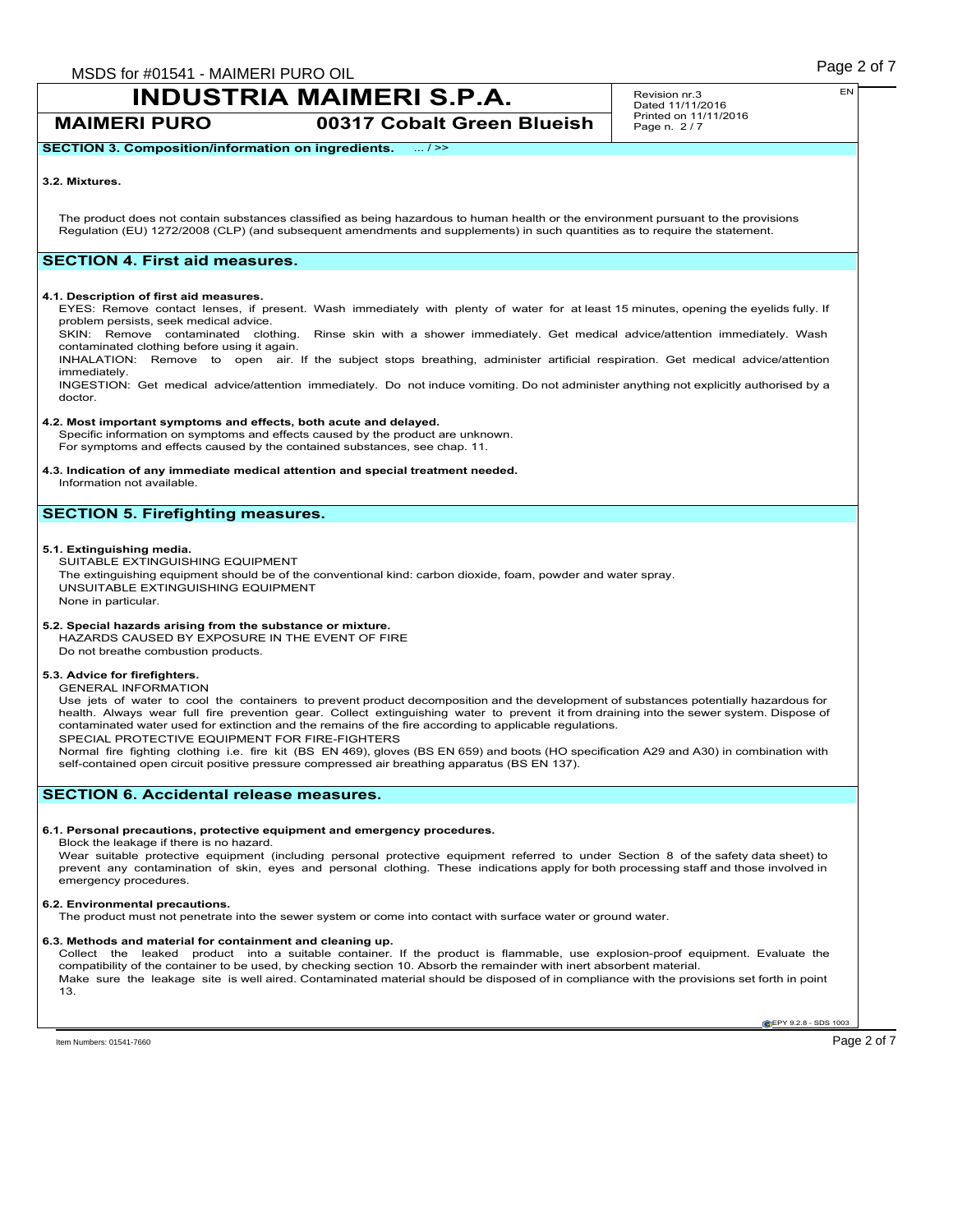**MAIMERI PURO 00317 Cobalt Green Blueish**

Revision nr.3 Dated 11/11/2016 Printed on 11/11/2016 Page n. 2 / 7

### **3.2. Mixtures.**

The product does not contain substances classified as being hazardous to human health or the environment pursuant to the provisions Regulation (EU) 1272/2008 (CLP) (and subsequent amendments and supplements) in such quantities as to require the statement.

### **SECTION 4. First aid measures.**

### **4.1. Description of first aid measures.**

EYES: Remove contact lenses, if present. Wash immediately with plenty of water for at least 15 minutes, opening the eyelids fully. If problem persists, seek medical advice.

SKIN: Remove contaminated clothing. Rinse skin with a shower immediately. Get medical advice/attention immediately. Wash contaminated clothing before using it again.

INHALATION: Remove to open air. If the subject stops breathing, administer artificial respiration. Get medical advice/attention immediately.

INGESTION: Get medical advice/attention immediately. Do not induce vomiting. Do not administer anything not explicitly authorised by a doctor.

### **4.2. Most important symptoms and effects, both acute and delayed.**

Specific information on symptoms and effects caused by the product are unknown. For symptoms and effects caused by the contained substances, see chap. 11.

### **4.3. Indication of any immediate medical attention and special treatment needed.**

Information not available.

### **SECTION 5. Firefighting measures.**

### **5.1. Extinguishing media.**

SUITABLE EXTINGUISHING EQUIPMENT The extinguishing equipment should be of the conventional kind: carbon dioxide, foam, powder and water spray. UNSUITABLE EXTINGUISHING EQUIPMENT None in particular.

### **5.2. Special hazards arising from the substance or mixture.**

HAZARDS CAUSED BY EXPOSURE IN THE EVENT OF FIRE Do not breathe combustion products.

### **5.3. Advice for firefighters.**

GENERAL INFORMATION

Use jets of water to cool the containers to prevent product decomposition and the development of substances potentially hazardous for health. Always wear full fire prevention gear. Collect extinguishing water to prevent it from draining into the sewer system. Dispose of contaminated water used for extinction and the remains of the fire according to applicable regulations. SPECIAL PROTECTIVE EQUIPMENT FOR FIRE-FIGHTERS

Normal fire fighting clothing i.e. fire kit (BS EN 469), gloves (BS EN 659) and boots (HO specification A29 and A30) in combination with self-contained open circuit positive pressure compressed air breathing apparatus (BS EN 137).

### **SECTION 6. Accidental release measures.**

### **6.1. Personal precautions, protective equipment and emergency procedures.**

Block the leakage if there is no hazard.

Wear suitable protective equipment (including personal protective equipment referred to under Section 8 of the safety data sheet) to<br>prevent any contamination of skin, eyes and personal clothing. These indications apply fo emergency procedures.

### **6.2. Environmental precautions.**

The product must not penetrate into the sewer system or come into contact with surface water or ground water.

### **6.3. Methods and material for containment and cleaning up.**

Collect the leaked product into a suitable container. If the product is flammable, use explosion-proof equipment. Evaluate the compatibility of the container to be used, by checking section 10. Absorb the remainder with inert absorbent material. Make sure the leakage site is well aired. Contaminated material should be disposed of in compliance with the provisions set forth in point 13.

**EPY 9.2.8 - SDS 1003**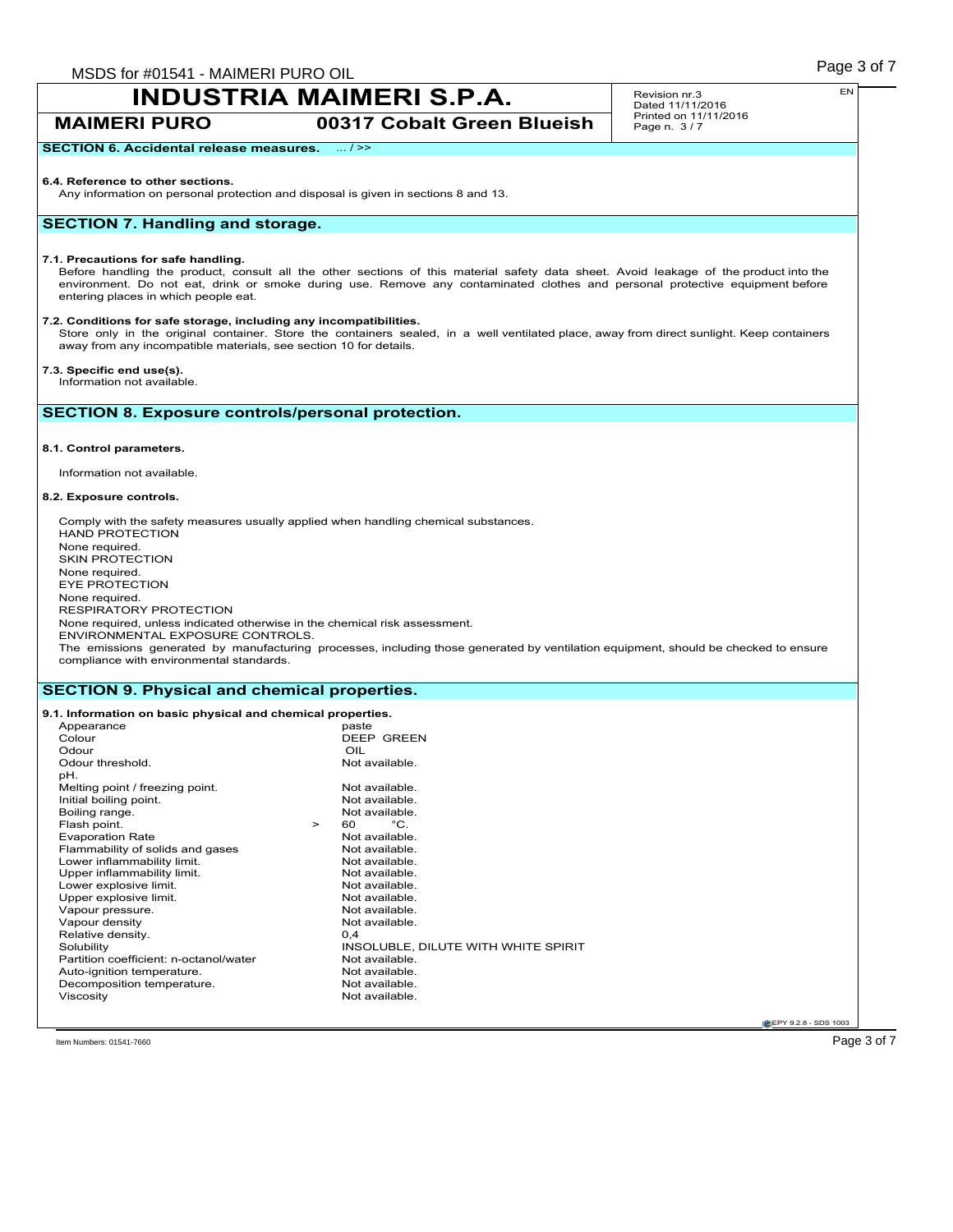**MAIMERI PURO 00317 Cobalt Green Blueish**

Revision nr.3 Dated 11/11/2016 Printed on 11/11/2016 Page n. 3 / 7

### **SECTION 6. Accidental release measures.** ... / >>

### **6.4. Reference to other sections.**

Any information on personal protection and disposal is given in sections 8 and 13.

### **SECTION 7. Handling and storage.**

### **7.1. Precautions for safe handling.**

Before handling the product, consult all the other sections of this material safety data sheet. Avoid leakage of the product into the environment. Do not eat, drink or smoke during use. Remove any contaminated clothes and personal protective equipment before entering places in which people eat.

### **7.2. Conditions for safe storage, including any incompatibilities.**

Store only in the original container. Store the containers sealed, in a well ventilated place, away from direct sunlight. Keep containers away from any incompatible materials, see section 10 for details.

### **7.3. Specific end use(s).**

Information not available.

### **SECTION 8. Exposure controls/personal protection.**

### **8.1. Control parameters.**

Information not available.

### **8.2. Exposure controls.**

Comply with the safety measures usually applied when handling chemical substances. HAND PROTECTION None required. SKIN PROTECTION None required. EYE PROTECTION None required. RESPIRATORY PROTECTION None required, unless indicated otherwise in the chemical risk assessment. ENVIRONMENTAL EXPOSURE CONTROLS. The emissions generated by manufacturing processes, including those generated by ventilation equipment, should be checked to ensure compliance with environmental standards.

### **SECTION 9. Physical and chemical properties.**

#### **9.1. Information on basic physical and chemical properties.** Appearance<br>Colour DEEP GREEN Odour<br>
Odour threshold.<br>
Odour threshold. Odour threshold. pH. Melting point / freezing point.<br>
Initial boiling point.<br>
Not available. Initial boiling point.<br>
Boiling range.<br>
Not available. Boiling range. Not available to the set of the Not available to the Not available. Not available to the Not available. Not available to the Not available. Not available to the Not available. Not available to the Not availa Flash point.  $\begin{array}{ccc} 5 & 5 & 5 \\ 2 & 5 & 6 \\ 6 & 7 & 7 \end{array}$  Point Practice Rate Not available. Evaporation Rate<br>
Flammability of solids and gases<br>
Not available. Flammability of solids and gases Not available.<br>
Not available.<br>
Not available. Lower inflammability limit.<br>
Upper inflammability limit.<br>
Upper inflammability limit.<br>
Not available. Upper inflammability limit.<br>
Lower explosive limit.<br>
Not available. Lower explosive limit.<br>
Upper explosive limit.<br>
Upper explosive limit. Upper explosive limit.<br>
Vapour pressure.<br>
Vapour pressure.<br>
Not available. Vapour pressure.<br>
Vapour density<br>
Vapour density<br>
Vapour density Vapour density Not<br>
Relative density 0.4 Relative density.<br>Solubility INSOLUBLE, DILUTE WITH WHITE SPIRIT<br>Not available Partition coefficient: n-octanol/water Mot available.<br>Auto-ignition temperature Not available Auto-ignition temperature.<br>
Decomposition temperature<br>
Not available. Decomposition temperature. Viscosity **Not available.**

**CEPY 9.2.8 - SDS 1003** 

 $\Gamma$ ltem Numbers: 01541-7660  $\rm P$ age  $3$  of  $7$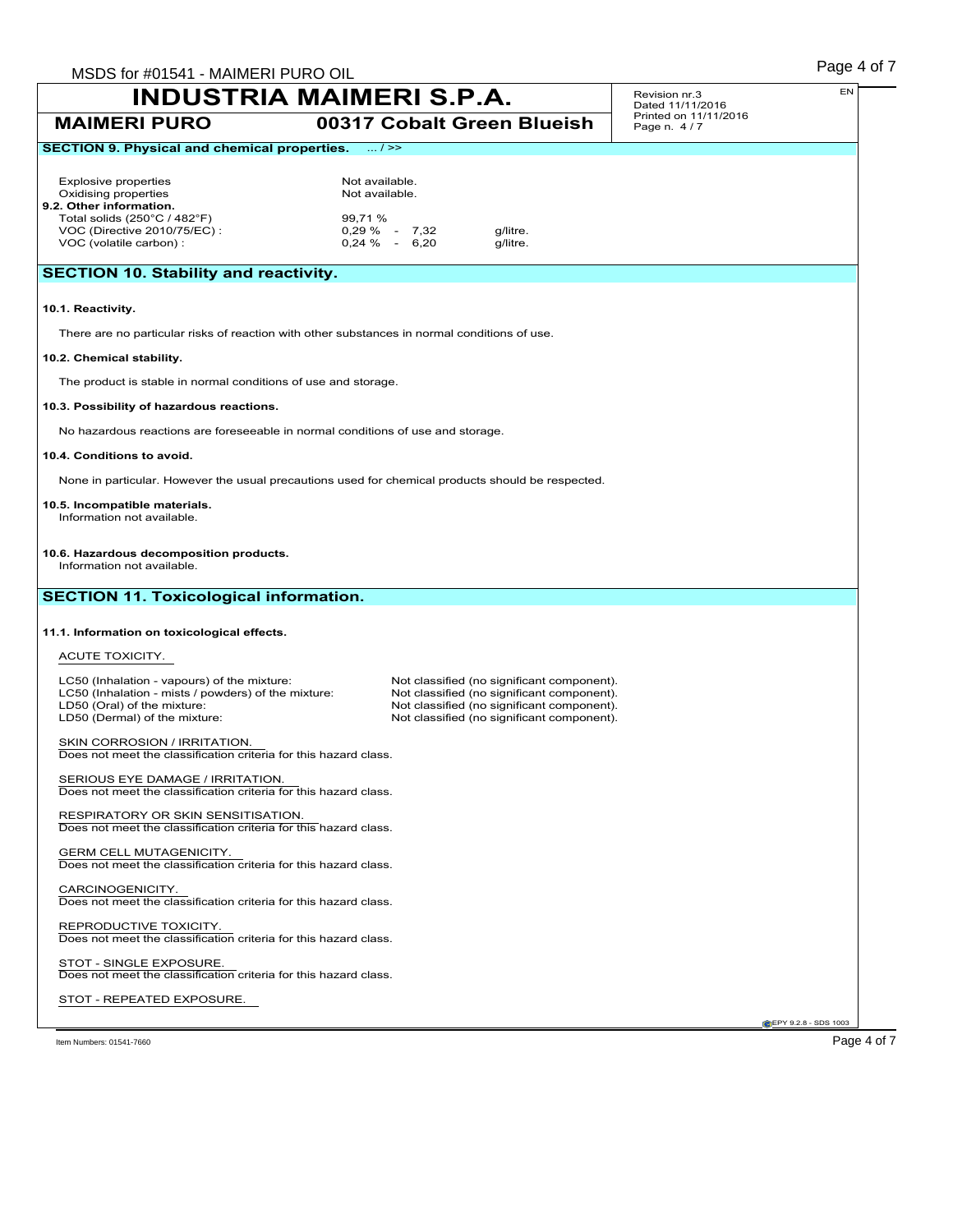| MSDS for #01541 - MAIMERI PURO OIL                                                                   |                                                                  |                          |                                                                                          |                                      | Page 4 of 7                   |
|------------------------------------------------------------------------------------------------------|------------------------------------------------------------------|--------------------------|------------------------------------------------------------------------------------------|--------------------------------------|-------------------------------|
| <b>INDUSTRIA MAIMERI S.P.A.</b>                                                                      |                                                                  |                          |                                                                                          | Revision nr.3<br>Dated 11/11/2016    | EN                            |
| <b>MAIMERI PURO</b>                                                                                  |                                                                  |                          | 00317 Cobalt Green Blueish                                                               | Printed on 11/11/2016<br>Page n. 4/7 |                               |
| <b>SECTION 9. Physical and chemical properties.</b>                                                  |                                                                  | $\overline{\ldots}$ / >> |                                                                                          |                                      |                               |
| <b>Explosive properties</b>                                                                          | Not available.                                                   |                          |                                                                                          |                                      |                               |
| Oxidising properties                                                                                 | Not available.                                                   |                          |                                                                                          |                                      |                               |
| 9.2. Other information.<br>Total solids (250°C / 482°F)                                              | 99,71 %                                                          |                          |                                                                                          |                                      |                               |
| VOC (Directive 2010/75/EC) :                                                                         |                                                                  | $0,29\%$ - 7,32          | g/litre.                                                                                 |                                      |                               |
| VOC (volatile carbon) :                                                                              |                                                                  | $0.24 \%$ - 6.20         | g/litre.                                                                                 |                                      |                               |
| <b>SECTION 10. Stability and reactivity.</b>                                                         |                                                                  |                          |                                                                                          |                                      |                               |
| 10.1. Reactivity.                                                                                    |                                                                  |                          |                                                                                          |                                      |                               |
| There are no particular risks of reaction with other substances in normal conditions of use.         |                                                                  |                          |                                                                                          |                                      |                               |
| 10.2. Chemical stability.                                                                            |                                                                  |                          |                                                                                          |                                      |                               |
| The product is stable in normal conditions of use and storage.                                       |                                                                  |                          |                                                                                          |                                      |                               |
| 10.3. Possibility of hazardous reactions.                                                            |                                                                  |                          |                                                                                          |                                      |                               |
| No hazardous reactions are foreseeable in normal conditions of use and storage.                      |                                                                  |                          |                                                                                          |                                      |                               |
| 10.4. Conditions to avoid.                                                                           |                                                                  |                          |                                                                                          |                                      |                               |
| None in particular. However the usual precautions used for chemical products should be respected.    |                                                                  |                          |                                                                                          |                                      |                               |
| 10.5. Incompatible materials.<br>Information not available.                                          |                                                                  |                          |                                                                                          |                                      |                               |
|                                                                                                      |                                                                  |                          |                                                                                          |                                      |                               |
| 10.6. Hazardous decomposition products.<br>Information not available.                                |                                                                  |                          |                                                                                          |                                      |                               |
|                                                                                                      |                                                                  |                          |                                                                                          |                                      |                               |
| <b>SECTION 11. Toxicological information.</b>                                                        |                                                                  |                          |                                                                                          |                                      |                               |
| 11.1. Information on toxicological effects.                                                          |                                                                  |                          |                                                                                          |                                      |                               |
| ACUTE TOXICITY.                                                                                      |                                                                  |                          |                                                                                          |                                      |                               |
|                                                                                                      |                                                                  |                          |                                                                                          |                                      |                               |
| LC50 (Inhalation - vapours) of the mixture:<br>LC50 (Inhalation - mists / powders) of the mixture:   |                                                                  |                          | Not classified (no significant component).<br>Not classified (no significant component). |                                      |                               |
| LD50 (Oral) of the mixture:                                                                          |                                                                  |                          | Not classified (no significant component).                                               |                                      |                               |
| LD50 (Dermal) of the mixture:                                                                        |                                                                  |                          | Not classified (no significant component).                                               |                                      |                               |
| SKIN CORROSION / IRRITATION.<br>Does not meet the classification criteria for this hazard class.     |                                                                  |                          |                                                                                          |                                      |                               |
|                                                                                                      |                                                                  |                          |                                                                                          |                                      |                               |
| SERIOUS EYE DAMAGE / IRRITATION.<br>Does not meet the classification criteria for this hazard class. |                                                                  |                          |                                                                                          |                                      |                               |
| RESPIRATORY OR SKIN SENSITISATION.                                                                   |                                                                  |                          |                                                                                          |                                      |                               |
| Does not meet the classification criteria for this hazard class.                                     |                                                                  |                          |                                                                                          |                                      |                               |
| <b>GERM CELL MUTAGENICITY.</b><br>Does not meet the classification criteria for this hazard class.   |                                                                  |                          |                                                                                          |                                      |                               |
| CARCINOGENICITY.                                                                                     |                                                                  |                          |                                                                                          |                                      |                               |
|                                                                                                      | Does not meet the classification criteria for this hazard class. |                          |                                                                                          |                                      |                               |
|                                                                                                      |                                                                  |                          |                                                                                          |                                      |                               |
| REPRODUCTIVE TOXICITY.                                                                               |                                                                  |                          |                                                                                          |                                      |                               |
| Does not meet the classification criteria for this hazard class.                                     |                                                                  |                          |                                                                                          |                                      |                               |
| STOT - SINGLE EXPOSURE.<br>Does not meet the classification criteria for this hazard class.          |                                                                  |                          |                                                                                          |                                      |                               |
|                                                                                                      |                                                                  |                          |                                                                                          |                                      |                               |
| STOT - REPEATED EXPOSURE.                                                                            |                                                                  |                          |                                                                                          |                                      | <b>C</b> EPY 9.2.8 - SDS 1003 |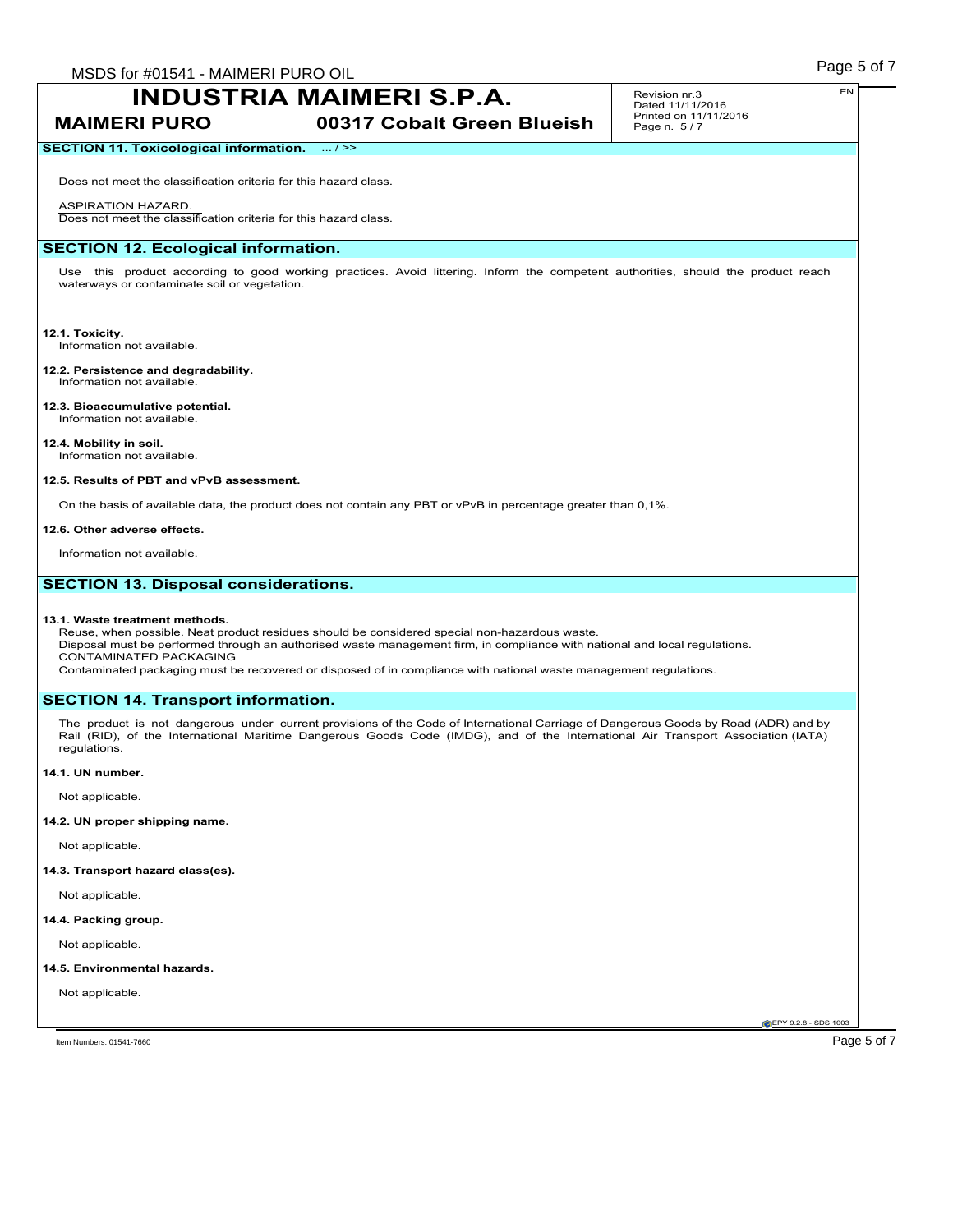### **MAIMERI PURO 00317 Cobalt Green Blueish**

### Revision nr.3 Dated 11/11/2016 Printed on 11/11/2016 Page n. 5 / 7

### **SECTION 11. Toxicological information.** ... / >>

Does not meet the classification criteria for this hazard class.

### ASPIRATION HAZARD.

Does not meet the classification criteria for this hazard class.

### **SECTION 12. Ecological information.**

Use this product according to good working practices. Avoid littering. Inform the competent authorities, should the product reach waterways or contaminate soil or vegetation.

### **12.1. Toxicity.**

Information not available.

#### **12.2. Persistence and degradability.** Information not available.

**12.3. Bioaccumulative potential.** Information not available.

### **12.4. Mobility in soil.**

Information not available.

### **12.5. Results of PBT and vPvB assessment.**

On the basis of available data, the product does not contain any PBT or vPvB in percentage greater than 0,1%.

### **12.6. Other adverse effects.**

Information not available.

### **SECTION 13. Disposal considerations.**

### **13.1. Waste treatment methods.**

Reuse, when possible. Neat product residues should be considered special non-hazardous waste. Disposal must be performed through an authorised waste management firm, in compliance with national and local regulations. CONTAMINATED PACKAGING

Contaminated packaging must be recovered or disposed of in compliance with national waste management regulations.

### **SECTION 14. Transport information.**

The product is not dangerous under current provisions of the Code of International Carriage of Dangerous Goods by Road (ADR) and by Rail (RID), of the International Maritime Dangerous Goods Code (IMDG), and of the International Air Transport Association (IATA) regulations.

### **14.1. UN number.**

Not applicable.

### **14.2. UN proper shipping name.**

Not applicable.

### **14.3. Transport hazard class(es).**

Not applicable.

### **14.4. Packing group.**

Not applicable.

### **14.5. Environmental hazards.**

Not applicable.

**CEPY 9.2.8 - SDS 1003**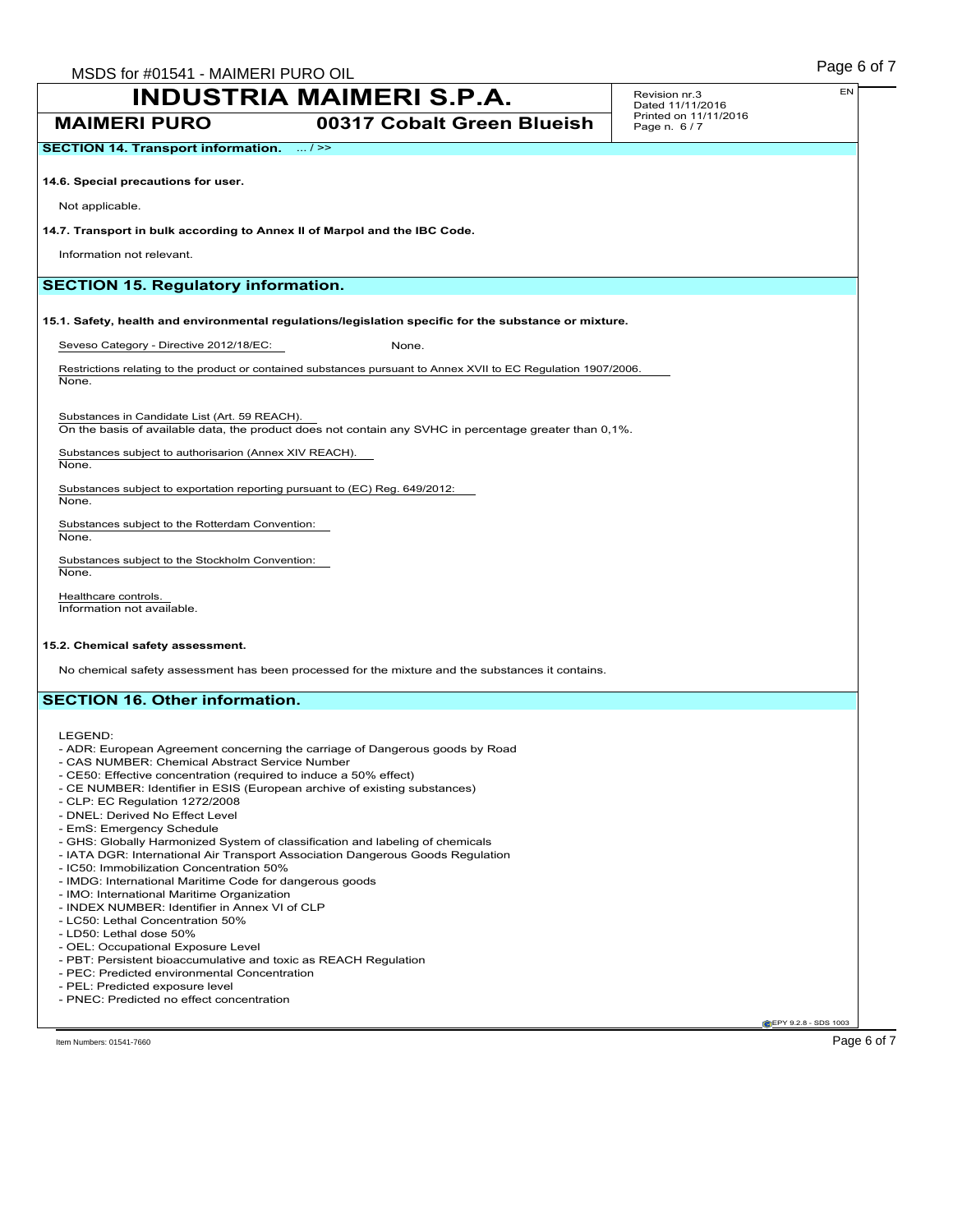Revision nr.3 Dated 11/11/2016 Printed on 11/11/2016 Page n. 6 / 7

**MAIMERI PURO 00317 Cobalt Green Blueish**

**14.6. Special precautions for user.**

Not applicable.

### **14.7. Transport in bulk according to Annex II of Marpol and the IBC Code.**

Information not relevant.

### **SECTION 15. Regulatory information.**

**15.1. Safety, health and environmental regulations/legislation specific for the substance or mixture.**

Seveso Category - Directive 2012/18/EC: None.

Restrictions relating to the product or contained substances pursuant to Annex XVII to EC Regulation 1907/2006. None.

Substances in Candidate List (Art. 59 REACH). On the basis of available data, the product does not contain any SVHC in percentage greater than 0,1%.

Substances subject to authorisarion (Annex XIV REACH). None.

Substances subject to exportation reporting pursuant to (EC) Reg. 649/2012:

Substances subject to the Rotterdam Convention: None.

Substances subject to the Stockholm Convention: None.

Healthcare controls. Information not available.

### **15.2. Chemical safety assessment.**

No chemical safety assessment has been processed for the mixture and the substances it contains.

### **SECTION 16. Other information.**

LEGEND:

None.

- ADR: European Agreement concerning the carriage of Dangerous goods by Road
- CAS NUMBER: Chemical Abstract Service Number
- CE50: Effective concentration (required to induce a 50% effect)
- CE NUMBER: Identifier in ESIS (European archive of existing substances)
- CLP: EC Regulation 1272/2008
- DNEL: Derived No Effect Level
- EmS: Emergency Schedule
- GHS: Globally Harmonized System of classification and labeling of chemicals
- IATA DGR: International Air Transport Association Dangerous Goods Regulation
- IC50: Immobilization Concentration 50%
- IMDG: International Maritime Code for dangerous goods
- IMO: International Maritime Organization
- INDEX NUMBER: Identifier in Annex VI of CLP
- LC50: Lethal Concentration 50%
- LD50: Lethal dose 50%
- OEL: Occupational Exposure Level
- PBT: Persistent bioaccumulative and toxic as REACH Regulation
- PEC: Predicted environmental Concentration
- PEL: Predicted exposure level
- PNEC: Predicted no effect concentration

**CEPY 9.2.8 - SDS 1003** 

Item Numbers: 01541-7660 Page 6 of 7